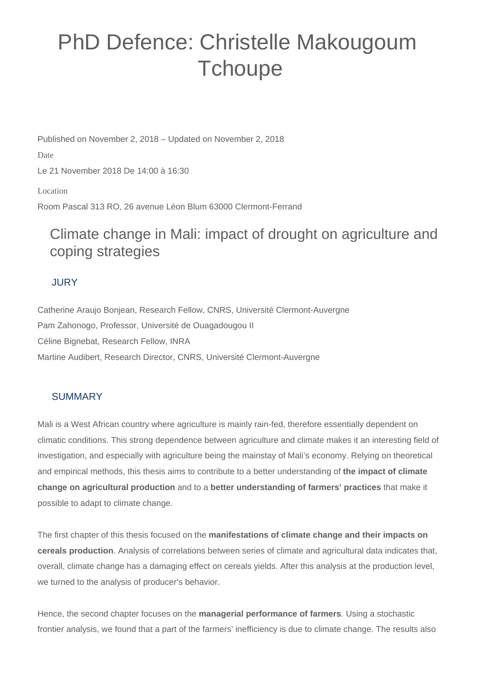# PhD Defence: Christelle Makougoum **Tchoupe**

Published on November 2, 2018 – Updated on November 2, 2018 Date Le 21 November 2018 De 14:00 à 16:30 Location Room Pascal 313 RO, 26 avenue Léon Blum 63000 Clermont-Ferrand

## Climate change in Mali: impact of drought on agriculture and coping strategies

### JURY

Catherine Araujo Bonjean, Research Fellow, CNRS, Université Clermont-Auvergne Pam Zahonogo, Professor, Université de Ouagadougou II Céline Bignebat, Research Fellow, INRA Martine Audibert, Research Director, CNRS, Université Clermont-Auvergne

### **SUMMARY**

Mali is a West African country where agriculture is mainly rain-fed, therefore essentially dependent on climatic conditions. This strong dependence between agriculture and climate makes it an interesting field of investigation, and especially with agriculture being the mainstay of Mali's economy. Relying on theoretical and empirical methods, this thesis aims to contribute to a better understanding of **the impact of climate change on agricultural production** and to a **better understanding of farmers' practices** that make it possible to adapt to climate change.

The first chapter of this thesis focused on the **manifestations of climate change and their impacts on cereals production**. Analysis of correlations between series of climate and agricultural data indicates that, overall, climate change has a damaging effect on cereals yields. After this analysis at the production level, we turned to the analysis of producer's behavior.

Hence, the second chapter focuses on the **managerial performance of farmers**. Using a stochastic frontier analysis, we found that a part of the farmers' inefficiency is due to climate change. The results also